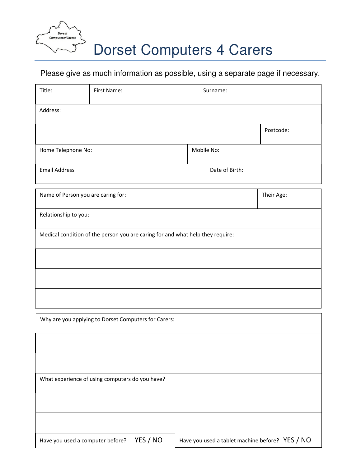

## Dorset Computers 4 Carers

## Please give as much information as possible, using a separate page if necessary.

| Title:                                                                                          | First Name: |            | Surname:       |            |  |  |  |  |
|-------------------------------------------------------------------------------------------------|-------------|------------|----------------|------------|--|--|--|--|
| Address:                                                                                        |             |            |                |            |  |  |  |  |
|                                                                                                 |             |            |                | Postcode:  |  |  |  |  |
| Home Telephone No:                                                                              |             | Mobile No: |                |            |  |  |  |  |
| <b>Email Address</b>                                                                            |             |            | Date of Birth: |            |  |  |  |  |
| Name of Person you are caring for:                                                              |             |            |                | Their Age: |  |  |  |  |
| Relationship to you:                                                                            |             |            |                |            |  |  |  |  |
| Medical condition of the person you are caring for and what help they require:                  |             |            |                |            |  |  |  |  |
|                                                                                                 |             |            |                |            |  |  |  |  |
|                                                                                                 |             |            |                |            |  |  |  |  |
|                                                                                                 |             |            |                |            |  |  |  |  |
| Why are you applying to Dorset Computers for Carers:                                            |             |            |                |            |  |  |  |  |
|                                                                                                 |             |            |                |            |  |  |  |  |
|                                                                                                 |             |            |                |            |  |  |  |  |
| What experience of using computers do you have?                                                 |             |            |                |            |  |  |  |  |
|                                                                                                 |             |            |                |            |  |  |  |  |
|                                                                                                 |             |            |                |            |  |  |  |  |
| YES / NO<br>Have you used a tablet machine before? YES / NO<br>Have you used a computer before? |             |            |                |            |  |  |  |  |